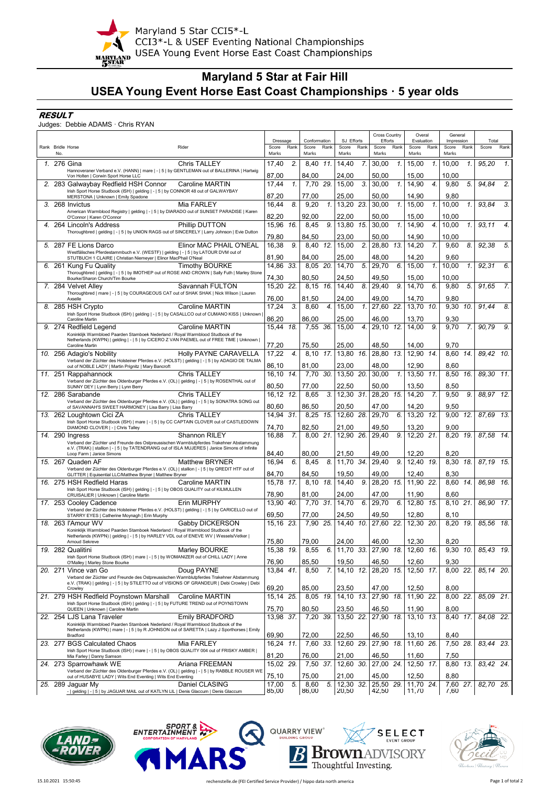

Maryland 5 Star CCI5\*-L Maryland 5 Star CCI5\*-L<br>CCI3\*-L & USEF Eventing National Championships<br>SSIARD<br>USEA Young Event Horse East Coast Championships

# **Maryland 5 Star at Fair Hill USEA Young Event Horse East Coast Championships · 5 year olds**

### **RESULT**

#### Judges: Debbie ADAMS · Chris RYAN

|                   |                                                                                                                                                                                            |                   |                |                       |      | <b>Cross Country</b>             |                        | Overal |                     | General         |                     |              |                |                 |
|-------------------|--------------------------------------------------------------------------------------------------------------------------------------------------------------------------------------------|-------------------|----------------|-----------------------|------|----------------------------------|------------------------|--------|---------------------|-----------------|---------------------|--------------|----------------|-----------------|
| Rank Bridle Horse | Rider                                                                                                                                                                                      | Dressage<br>Score | Rank           | Conformation<br>Score | Rank | SJ Efforts<br>Rank<br>Score      | Efforts<br>Score       | Rank   | Evaluation<br>Score | Rank            | Impression<br>Score | Rank         | Total<br>Score | Rank            |
| No.               |                                                                                                                                                                                            | Marks             |                | Marks                 |      | Marks                            | Marks                  |        | Marks               |                 | Marks               |              |                |                 |
|                   | <b>Chris TALLEY</b><br>1. 276 Gina                                                                                                                                                         | 17.40             | $\overline{2}$ | 8.40                  | 11.  | 7.<br>14,40                      | 30,00                  | 1.     | 15,00               | 1.              | 10,00               | 1.           | 95,20          | 1.              |
|                   | Hannoveraner Verband e.V. (HANN)   mare   -   5   by GENTLEMAN out of BALLERINA   Hartwig                                                                                                  |                   |                |                       |      |                                  |                        |        |                     |                 |                     |              |                |                 |
|                   | Von Holten   Corwin Sport Horse LLC                                                                                                                                                        | 87,00             |                | 84,00                 |      | 24,00                            | 50,00                  |        | 15,00               |                 | 10,00               |              |                | 2.              |
|                   | 2. 283 Galwaybay Redfield HSH Connor<br>Caroline MARTIN<br>Irish Sport Horse Studbook (ISH)   gelding   -   5   by CONNOR 48 out of GALWAYBAY                                              | 17.44<br>87,20    | 1.             | 7.70<br>77.00         | 29.  | 15.00<br>3.<br>25,00             | 30,00<br>50.00         | 1.     | 14.90<br>14,90      | 4.              | 9.80<br>9.80        | 5.           | 94.84          |                 |
|                   | MERSTONA   Unknown   Emily Spadone<br>3. 268 Invictus<br>Mia FARLEY                                                                                                                        | 16.44             | 8.             | 9,20                  | 1.   | 13,20<br>23.                     | 30.00                  | 1.     | 15.00               | 1.              | 10.00               | $\mathbf{1}$ | 93.84          | $\mathcal{S}$ . |
|                   | American Warmblood Registry   gelding   -   5   by DIARADO out of SUNSET PARADISE   Karen                                                                                                  |                   |                |                       |      |                                  |                        |        |                     |                 |                     |              |                |                 |
|                   | O'Connor   Karen O'Connor                                                                                                                                                                  | 82,20             |                | 92,00                 |      | 22.00                            | 50.00                  |        | 15,00               |                 | 10.00               |              |                |                 |
|                   | 4. 264 Lincoln's Address<br>Phillip DUTTON                                                                                                                                                 | 15,96             | 16.            | 8,45                  | 9.   | 15.<br>13,80                     | 30,00                  | 1.     | 14.90               | 4.              | 10.00               | 1.           | 93,11          | $\overline{4}$  |
|                   | Thoroughbred   gelding   -   5   by UNION RAGS out of SINCERELY   Larry Johnson   Evie Dutton                                                                                              | 79,80             |                | 84,50                 |      | 23,00                            | 50,00                  |        | 14,90               |                 | 10.00               |              |                |                 |
|                   | 5. 287 FE Lions Darco<br>Elinor MAC PHAIL O'NEAL                                                                                                                                           | 16.38             | 9.             | 8.40                  | 12.  | 2.<br>15.00                      | 28,80                  | 13.    | 14.20               | 7.              | 9.60                | 8.           | 92.38          | 5.              |
|                   | Westfälisches Pferdestammbuch e.V. (WESTF)   gelding   -   5   by LATOUR DVM out of                                                                                                        |                   |                |                       |      |                                  |                        |        |                     |                 |                     |              |                |                 |
|                   | STUTBUCH 1 CLAIRE   Christian Niemeyer   Elinor MacPhail O'Neal                                                                                                                            | 81.90             |                | 84.00                 |      | 25,00                            | 48.00                  |        | 14.20               |                 | 9.60                |              |                |                 |
|                   | 6. 261 Kung Fu Quality<br><b>Timothy BOURKE</b><br>Thoroughbred   gelding   -   5   by IMOTHEP out of ROSE AND CROWN   Sally Futh   Marley Stone                                           | 14.86 33.         |                | 8.05 20.              |      | 5.<br>14,70                      | 29,70                  | 6.     | 15,00               | $\mathcal{I}$ . | 10.00               | 1.           | 92.31          | 6.              |
|                   | Bourke/Sharon Church/Tim Bourke                                                                                                                                                            | 74,30             |                | 80,50                 |      | 24,50                            | 49.50                  |        | 15,00               |                 | 10,00               |              |                |                 |
|                   | Savannah FULTON<br>7. 284 Velvet Alley                                                                                                                                                     | 15,20 22.         |                | 8,15                  | 16.  | 8.<br>14,40                      | 29,40                  | 9.     | 14,70               | 6.              | 9,80                | 5.           | 91,65          | 7.              |
|                   | Thoroughbred   mare   -   5   by COURAGEOUS CAT out of SHAK SHAK   Nick Wilson   Lauren                                                                                                    |                   |                |                       |      |                                  |                        |        |                     |                 |                     |              |                |                 |
|                   | Axselle<br>8. 285 HSH Crypto                                                                                                                                                               | 76,00<br>17.24    | 3.             | 81,50<br>8.60         | 4.   | 24,00<br>15.00<br>1.             | 49,00<br>27,60         | 22.    | 14,70<br>13.70      | 10              | 9,80<br>9.30        | 10.          | 91.44          | 8.              |
|                   | Caroline MARTIN<br>Irish Sport Horse Studbook (ISH)   gelding   -   5   by CASALLCO out of CUMANO KISS   Unknown                                                                           |                   |                |                       |      |                                  |                        |        |                     |                 |                     |              |                |                 |
|                   | Caroline Martin                                                                                                                                                                            | 86,20             |                | 86,00                 |      | 25,00                            | 46.00                  |        | 13,70               |                 | 9,30                |              |                |                 |
|                   | 9. 274 Redfield Legend<br><b>Caroline MARTIN</b>                                                                                                                                           | 15,44             | 18.            | 7,55                  | -36. | 15,00<br>4.                      | 29,10                  | 12.    | 14,00               | 9               | 9.70                | 7.           | 90,79          | 9.              |
|                   | Koninklijk Warmbloed Paarden Stamboek Nederland / Royal Warmblood Studbook of the<br>Netherlands (KWPN)   gelding   -   5   by CICERO Z VAN PAEMEL out of FREE TIME   Unknown              |                   |                |                       |      |                                  |                        |        |                     |                 |                     |              |                |                 |
|                   | Caroline Martin                                                                                                                                                                            | 77,20             |                | 75,50                 |      | 25,00                            | 48,50                  |        | 14,00               |                 | 9.70                |              |                |                 |
|                   | 10. 256 Adagio's Nobility<br>Holly PAYNE CARAVELLA                                                                                                                                         | 17.22             | 4.             | 8.10                  | 17.  | 13,80<br>16.                     | 28,80                  | 13.    | 12,90               | 14.             | 8.60                | 14.          | 89,42          | 10.             |
|                   | Verband der Züchter des Holsteiner Pferdes e.V. (HOLST)   gelding   -   5   by ADAGIO DE TALMA                                                                                             |                   |                |                       |      |                                  |                        |        |                     |                 |                     |              |                |                 |
|                   | out of NOBLE LADY   Martin Prignitz   Mary Bancroft                                                                                                                                        | 86,10             |                | 81,00                 |      | 23,00                            | 48.00<br>30.00         |        | 12,90               |                 | 8,60                |              |                |                 |
|                   | <b>Chris TALLEY</b><br>11. 251 Rappahannock<br>Verband der Züchter des Oldenburger Pferdes e.V. (OL)   gelding   -   5   by ROSENTHAL out of                                               | 16.10             | 14.            | 7.70                  | 30.  | 13.50<br>20.                     |                        | 1.     | 13.50               | 11              | 8.50                | 16.          | 89,30          | 11.             |
|                   | SUNNY DEY   Lynn Berry   Lynn Berry                                                                                                                                                        | 80.50             |                | 77.00                 |      | 22.50                            | 50.00                  |        | 13.50               |                 | 8.50                |              |                |                 |
|                   | 12. 286 Sarabande<br><b>Chris TALLEY</b>                                                                                                                                                   | 16.12 12.         |                | 8,65                  | 3.   | 12,30 31.                        | 28,20                  | 15.    | 14,20               | 7.              | 9,50                | 9.           | 88.97 12.      |                 |
|                   | Verband der Züchter des Oldenburger Pferdes e.V. (OL)   gelding   -   5   by SONATRA SONG out<br>of SAVANNAH'S SWEET HARMONEY   Lisa Barry   Lisa Barry                                    | 80,60             |                | 86,50                 |      | 20,50                            | 47,00                  |        | 14,20               |                 | 9,50                |              |                |                 |
|                   | 13. 262 Loughtown Cici ZA<br><b>Chris TALLEY</b>                                                                                                                                           | 14.94 31.         |                | 8,25                  | 15.  | 12,60 28.                        | 29,70                  | 6.     | 13,20 12            |                 | 9,00                | -12.         | 87,69          | 13.             |
|                   | Irish Sport Horse Studbook (ISH)   mare   -   5   by CC CAPTAIN CLOVER out of CASTLEDOWN                                                                                                   |                   |                |                       |      |                                  |                        |        |                     |                 |                     |              |                |                 |
|                   | DIAMOND CLOVER   -   Chris Talley                                                                                                                                                          | 74,70             |                | 82,50                 |      | 21,00                            | 49,50                  |        | 13,20               |                 | 9,00                |              |                |                 |
|                   | Shannon RILEY<br>14. 290 Ingress                                                                                                                                                           | 16.88             | 7.             | 8.00                  | 21.  | 26.<br>12,90                     | 29,40                  | 9.     | 12,20               | 21              | 8.20                | 19.          | 87,58          | 14.             |
|                   | Verband der Züchter und Freunde des Ostpreussischen Warmblutpferdes Trakehner Abstammung<br>e.V. (TRAK)   stallion   -   5   by TATENDRANG out of ISLA MUJERES   Janice Simons of Infinite |                   |                |                       |      |                                  |                        |        |                     |                 |                     |              |                |                 |
|                   | Loop Farm   Janice Simons                                                                                                                                                                  | 84,40             |                | 80,00                 |      | 21,50                            | 49,00                  |        | 12,20               |                 | 8,20                |              |                |                 |
|                   | 15. 267 Quaden AF<br><b>Matthew BRYNER</b>                                                                                                                                                 | 16.94             | 6.             | 8.45                  | 8.   | 34.<br>11,70                     | 29,40                  | 9.     | 12,40 19.           |                 | 8,30                | 18.          | 87,19          | 15.             |
|                   | Verband der Züchter des Oldenburger Pferdes e.V. (OL)   stallion   -   5   by QREDIT HTF out of<br>GLITTER   Equisential LLC/Matthew Bryner   Matthew Bryner                               | 84,70             |                | 84,50                 |      | 19,50                            | 49,00                  |        | 12,40               |                 | 8.30                |              |                |                 |
|                   | 16. 275 HSH Redfield Haras<br>Caroline MARTIN                                                                                                                                              | 15.78             | 17.            | 8,10                  | 18.  | 9.<br>14,40                      | 28,20                  | 15.    | 11,90               | -22             | 8,60                | 14.          | 86,98          | 16.             |
|                   | Irish Sport Horse Studbook (ISH)   gelding   -   5   by OBOS QUALITY out of KILMULLEN                                                                                                      |                   |                |                       |      |                                  |                        |        |                     |                 |                     |              |                |                 |
|                   | CRUISALIER   Unknown   Caroline Martin                                                                                                                                                     | 78,90             |                | 81,00                 |      | 24,00                            | 47.00                  |        | 11,90               |                 | 8,60                |              |                |                 |
|                   | Erin MURPHY<br>17. 253 Cooley Cadence                                                                                                                                                      | 13.90             | 40.            | 7.70                  | 31.  | 14.70<br>6.                      | 29,70                  | 6.     | 12,80               | 15.             | 8,10                | 21.          | 86,90          | 17.             |
|                   | Verband der Züchter des Holsteiner Pferdes e.V. (HOLST)   gelding   -   5   by CARICELLO out of<br>STARRY EYES   Catherine Moynagh   Erin Murphy                                           | 69,50             |                | 77.00                 |      | 24,50                            | 49,50                  |        | 12,80               |                 | 8,10                |              |                |                 |
|                   | 18. 263 l'Amour WV<br>Gabby DICKERSON                                                                                                                                                      | 15.16 23.         |                | 7.90                  | 25.  | 14,40<br>10.                     | 27,60 22.              |        | 12.30 20            |                 | 8,20                | 19.          | 85.56 18.      |                 |
|                   | Koninklijk Warmbloed Paarden Stamboek Nederland / Royal Warmblood Studbook of the                                                                                                          |                   |                |                       |      |                                  |                        |        |                     |                 |                     |              |                |                 |
|                   | Netherlands (KWPN)   gelding   -   5   by HARLEY VDL out of ENEVE WV   Wessels/Vetker  <br>Arnoud Sekreve                                                                                  | 75.80             |                | 79.00                 |      | 24.00                            | 46.00                  |        | 12.30               |                 | 8.20                |              |                |                 |
|                   | <i>19.</i> 282 Qualitini<br>Marley BOURKE                                                                                                                                                  | 15,38 <i>19.</i>  |                | 8,55                  |      | 6. 11,70 33. 27,90 18. 12,60 16. |                        |        |                     |                 | 9,30 10.            |              | $85,43$ 19.    |                 |
|                   | Irish Sport Horse Studbook (ISH)   mare   -   5   by WOMANIZER out of CHILL LADY   Anne                                                                                                    |                   |                |                       |      |                                  |                        |        |                     |                 |                     |              |                |                 |
|                   | O'Malley   Marley Stone Bourke                                                                                                                                                             | 76,90             |                | 85,50                 |      | 19,50                            | 46,50                  |        | 12,60               |                 | 9,30                |              |                |                 |
|                   | 20. 271 Vince van Go<br>Doug PAYNE<br>Verband der Züchter und Freunde des Ostpreussischen Warmblutpferdes Trakehner Abstammung                                                             | 13,84 41.         |                | 8,50                  | 7.   | 14,10 12.                        | 28,20 15.              |        | 12,50 17.           |                 | 8,00 22.            |              | 85,14 20.      |                 |
|                   | e.V. (TRAK)   gelding   -   5   by STILETTO out of VISIONS OF GRANDEUR   Debi Crowley   Debi                                                                                               |                   |                |                       |      |                                  |                        |        |                     |                 |                     |              |                |                 |
|                   | Crowley                                                                                                                                                                                    | 69,20             |                | 85,00                 |      | 23,50                            | 47,00                  |        | 12,50               |                 | 8,00                |              |                |                 |
|                   | 21. 279 HSH Redfield Poynstown Marshall<br>Caroline MARTIN                                                                                                                                 | 15,14 25.         |                | 8,05 19.              |      | $14, 10$ $13.$                   | 27,90 18.              |        | 11,90 22.           |                 | 8,00 22.            |              | 85,09 21.      |                 |
|                   | Irish Sport Horse Studbook (ISH)   gelding   -   5   by FUTURE TREND out of POYNSTOWN<br>QUEEN   Unknown   Caroline Martin                                                                 | 75,70             |                | 80,50                 |      | 23,50                            | 46,50                  |        | 11,90               |                 | 8,00                |              |                |                 |
|                   | 22. 254 LJS Lana Traveler<br><b>Emily BRADFORD</b>                                                                                                                                         | 13,98 37.         |                | 7,20 39.              |      | 13,50 22.                        | 27,90 18.              |        | $13,10$ $13.$       |                 | 8.40 17.            |              | 84,08 22.      |                 |
|                   | Koninklijk Warmbloed Paarden Stamboek Nederland / Royal Warmblood Studbook of the                                                                                                          |                   |                |                       |      |                                  |                        |        |                     |                 |                     |              |                |                 |
|                   | Netherlands (KWPN)   mare   -   5   by R JOHNSON out of SARETTA   Lazy J Sporthorses   Emily<br>Bradford                                                                                   | 69,90             |                | 72,00                 |      | 22,50                            | 46,50                  |        | 13,10               |                 | 8,40                |              |                |                 |
|                   | 23. 277 BGS Calculated Chaos<br>Mia FARLEY                                                                                                                                                 | 16,24 11.         |                |                       |      | 7,60 33 12,60 29.                | $\overline{27,90}$ 18. |        | 11,60 26.           |                 | 7,50 28.            |              | 83,44 23.      |                 |
|                   | Irish Sport Horse Studbook (ISH)   mare   -   5   by OBOS QUALITY 004 out of FRISKY AMBER                                                                                                  |                   |                |                       |      |                                  |                        |        |                     |                 |                     |              |                |                 |
|                   | Mia Farley   Danny Samson                                                                                                                                                                  | 81,20             |                | 76,00                 |      | 21,00                            | 46,50                  |        | 11,60               |                 | 7,50                |              |                |                 |
|                   | 24. 273 Sparrowhawk WE<br>Ariana FREEMAN                                                                                                                                                   | 15.02 29.         |                | 7.50 37.              |      | 12,60 30.                        | 27,00 24.              |        | 12.50 17.           |                 | 8,80 13.            |              | 83.42 24.      |                 |
|                   | Verband der Züchter des Oldenburger Pferdes e.V. (OL)   gelding   -   5   by RABBLE ROUSER WE<br>out of HUSABYE LADY   Wits End Eventing   Wits End Eventing                               | 75,10             |                | 75,00                 |      | 21,00                            | 45,00                  |        | 12,50               |                 | 8,80                |              |                |                 |
|                   | Daniel CLASING<br>25. 289 Jaguar My                                                                                                                                                        | 17,00             | 5.             | 8,60                  | 5.   | 12,30 32.                        | 25,50 29.              |        | 11,70 24.           |                 | 7,60 27.            |              | 82,70 25.      |                 |
|                   | -   gelding   -   5   by JAGUAR MAIL out of KATLYN LIL   Denis Glaccum   Denis Glaccum                                                                                                     | 85,00             |                | 86,00                 |      | 20,50                            | 42,50                  |        | 11,70               |                 | 7,60                |              |                |                 |





**QUARRY VIEW**<sup>®</sup>